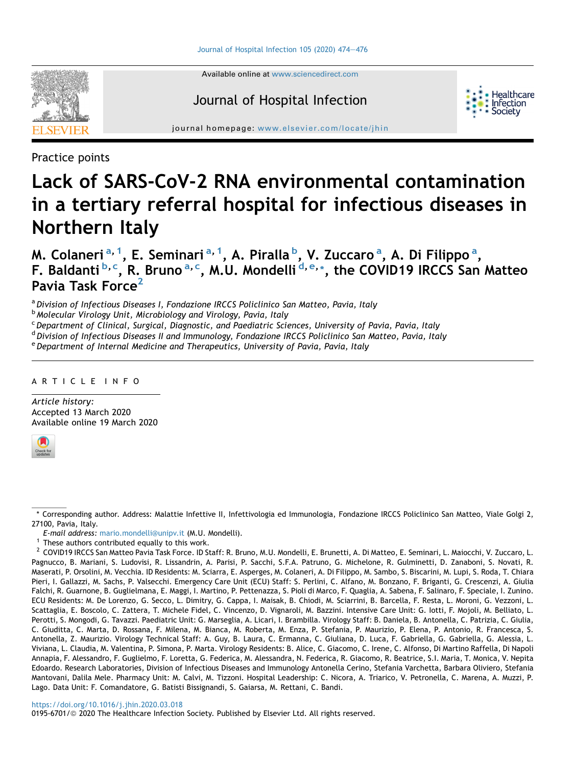

Available online at [www.sciencedirect.com](www.sciencedirect.com/science/journal/01956701)

# Journal of Hospital Infection



journal homepage: [www.elsevier.com/locate/jhin](http://www.elsevier.com/locate/jhin)

Practice points

# Lack of SARS-CoV-2 RNA environmental contamination in a tertiary referral hospital for infectious diseases in Northern Italy

M. Col[a](#page-0-0)neri <sup>a, [1](#page-0-1)</sup>, E. Seminari <sup>a, 1</sup>, A. Piralla <sup>[b](#page-0-2)</sup>, V. Zuccaro <sup>a</sup>, A. Di Filippo <sup>a</sup>, F. Baldanti<sup>[b,](#page-0-2) [c](#page-0-3)</sup>, R. Bruno<sup>[a,](#page-0-0) c</sup>, M.U. Mon[d](#page-0-4)[e](#page-0-5)lli<sup>d, e,</sup>[\\*](#page-0-6), the COVID19 IRCCS San Matteo Pavia Task Force<sup>[2](#page-0-7)</sup>

<span id="page-0-0"></span><sup>a</sup> Division of Infectious Diseases I, Fondazione IRCCS Policlinico San Matteo, Pavia, Italy

<span id="page-0-2"></span><sup>b</sup> Molecular Virology Unit, Microbiology and Virology, Pavia, Italy

<span id="page-0-3"></span><sup>c</sup> Department of Clinical, Surgical, Diagnostic, and Paediatric Sciences, University of Pavia, Pavia, Italy

<span id="page-0-4"></span>d Division of Infectious Diseases II and Immunology, Fondazione IRCCS Policlinico San Matteo, Pavia, Italy

<span id="page-0-5"></span><sup>e</sup> Department of Internal Medicine and Therapeutics, University of Pavia, Pavia, Italy

# ARTICLE INFO

Article history: Accepted 13 March 2020 Available online 19 March 2020



0195-6701/@ 2020 The Healthcare Infection Society. Published by Elsevier Ltd. All rights reserved.

<span id="page-0-6"></span><sup>\*</sup> Corresponding author. Address: Malattie Infettive II, Infettivologia ed Immunologia, Fondazione IRCCS Policlinico San Matteo, Viale Golgi 2, 27100, Pavia, Italy.

E-mail address: [mario.mondelli@unipv.it](mailto:mario.mondelli@unipv.it) (M.U. Mondelli).<br><sup>1</sup> These authors contributed equally to this work.

<span id="page-0-1"></span>

<span id="page-0-7"></span><sup>&</sup>lt;sup>2</sup> COVID19 IRCCS San Matteo Pavia Task Force. ID Staff: R. Bruno, M.U. Mondelli, E. Brunetti, A. Di Matteo, E. Seminari, L. Maiocchi, V. Zuccaro, L. Pagnucco, B. Mariani, S. Ludovisi, R. Lissandrin, A. Parisi, P. Sacchi, S.F.A. Patruno, G. Michelone, R. Gulminetti, D. Zanaboni, S. Novati, R. Maserati, P. Orsolini, M. Vecchia. ID Residents: M. Sciarra, E. Asperges, M. Colaneri, A. Di Filippo, M. Sambo, S. Biscarini, M. Lupi, S. Roda, T. Chiara Pieri, I. Gallazzi, M. Sachs, P. Valsecchi. Emergency Care Unit (ECU) Staff: S. Perlini, C. Alfano, M. Bonzano, F. Briganti, G. Crescenzi, A. Giulia Falchi, R. Guarnone, B. Guglielmana, E. Maggi, I. Martino, P. Pettenazza, S. Pioli di Marco, F. Quaglia, A. Sabena, F. Salinaro, F. Speciale, I. Zunino. ECU Residents: M. De Lorenzo, G. Secco, L. Dimitry, G. Cappa, I. Maisak, B. Chiodi, M. Sciarrini, B. Barcella, F. Resta, L. Moroni, G. Vezzoni, L. Scattaglia, E. Boscolo, C. Zattera, T. Michele Fidel, C. Vincenzo, D. Vignaroli, M. Bazzini. Intensive Care Unit: G. Iotti, F. Mojoli, M. Belliato, L. Perotti, S. Mongodi, G. Tavazzi. Paediatric Unit: G. Marseglia, A. Licari, I. Brambilla. Virology Staff: B. Daniela, B. Antonella, C. Patrizia, C. Giulia, C. Giuditta, C. Marta, D. Rossana, F. Milena, M. Bianca, M. Roberta, M. Enza, P. Stefania, P. Maurizio, P. Elena, P. Antonio, R. Francesca, S. Antonella, Z. Maurizio. Virology Technical Staff: A. Guy, B. Laura, C. Ermanna, C. Giuliana, D. Luca, F. Gabriella, G. Gabriella, G. Alessia, L. Viviana, L. Claudia, M. Valentina, P. Simona, P. Marta. Virology Residents: B. Alice, C. Giacomo, C. Irene, C. Alfonso, Di Martino Raffella, Di Napoli Annapia, F. Alessandro, F. Guglielmo, F. Loretta, G. Federica, M. Alessandra, N. Federica, R. Giacomo, R. Beatrice, S.I. Maria, T. Monica, V. Nepita Edoardo. Research Laboratories, Division of Infectious Diseases and Immunology Antonella Cerino, Stefania Varchetta, Barbara Oliviero, Stefania Mantovani, Dalila Mele. Pharmacy Unit: M. Calvi, M. Tizzoni. Hospital Leadership: C. Nicora, A. Triarico, V. Petronella, C. Marena, A. Muzzi, P. Lago. Data Unit: F. Comandatore, G. Batisti Bissignandi, S. Gaiarsa, M. Rettani, C. Bandi.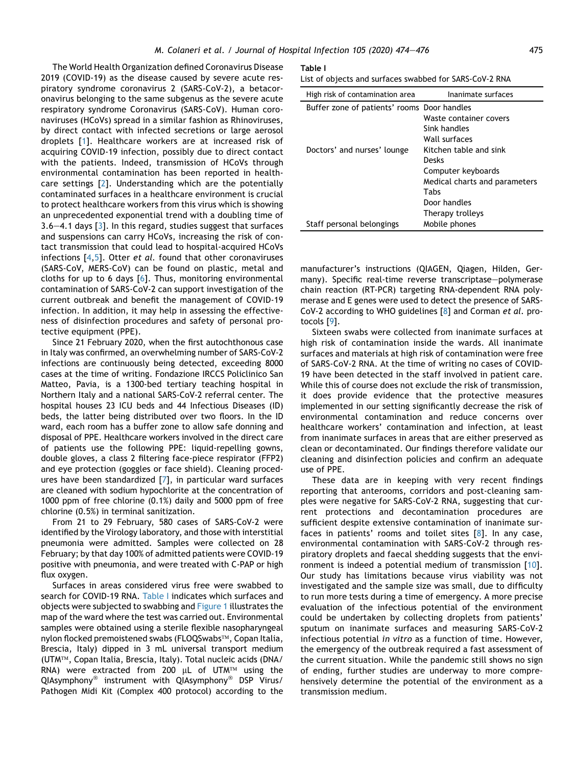The World Health Organization defined Coronavirus Disease 2019 (COVID-19) as the disease caused by severe acute respiratory syndrome coronavirus 2 (SARS-CoV-2), a betacoronavirus belonging to the same subgenus as the severe acute respiratory syndrome Coronavirus (SARS-CoV). Human coronaviruses (HCoVs) spread in a similar fashion as Rhinoviruses, by direct contact with infected secretions or large aerosol droplets [[1\]](#page-2-0). Healthcare workers are at increased risk of acquiring COVID-19 infection, possibly due to direct contact with the patients. Indeed, transmission of HCoVs through environmental contamination has been reported in healthcare settings [[2](#page-2-1)]. Understanding which are the potentially contaminated surfaces in a healthcare environment is crucial to protect healthcare workers from this virus which is showing an unprecedented exponential trend with a doubling time of  $3.6-4.1$  $3.6-4.1$  days  $[3]$ . In this regard, studies suggest that surfaces and suspensions can carry HCoVs, increasing the risk of contact transmission that could lead to hospital-acquired HCoVs infections [[4,](#page-2-3)[5\]](#page-2-4). Otter et al. found that other coronaviruses (SARS-CoV, MERS-CoV) can be found on plastic, metal and cloths for up to 6 days [\[6\]](#page-2-5). Thus, monitoring environmental contamination of SARS-CoV-2 can support investigation of the current outbreak and benefit the management of COVID-19 infection. In addition, it may help in assessing the effectiveness of disinfection procedures and safety of personal protective equipment (PPE).

Since 21 February 2020, when the first autochthonous case in Italy was confirmed, an overwhelming number of SARS-CoV-2 infections are continuously being detected, exceeding 8000 cases at the time of writing. Fondazione IRCCS Policlinico San Matteo, Pavia, is a 1300-bed tertiary teaching hospital in Northern Italy and a national SARS-CoV-2 referral center. The hospital houses 23 ICU beds and 44 Infectious Diseases (ID) beds, the latter being distributed over two floors. In the ID ward, each room has a buffer zone to allow safe donning and disposal of PPE. Healthcare workers involved in the direct care of patients use the following PPE: liquid-repelling gowns, double gloves, a class 2 filtering face-piece respirator (FFP2) and eye protection (goggles or face shield). Cleaning procedures have been standardized [[7\]](#page-2-6), in particular ward surfaces are cleaned with sodium hypochlorite at the concentration of 1000 ppm of free chlorine (0.1%) daily and 5000 ppm of free chlorine (0.5%) in terminal sanitization.

From 21 to 29 February, 580 cases of SARS-CoV-2 were identified by the Virology laboratory, and those with interstitial pneumonia were admitted. Samples were collected on 28 February; by that day 100% of admitted patients were COVID-19 positive with pneumonia, and were treated with C-PAP or high flux oxygen.

Surfaces in areas considered virus free were swabbed to search for COVID-19 RNA. [Table I](#page-1-0) indicates which surfaces and objects were subjected to swabbing and [Figure 1](#page-2-7) illustrates the map of the ward where the test was carried out. Environmental samples were obtained using a sterile flexible nasopharyngeal nylon flocked premoistened swabs (FLOQSwabs™, Copan Italia, Brescia, Italy) dipped in 3 mL universal transport medium (UTM™, Copan Italia, Brescia, Italy). Total nucleic acids (DNA/ RNA) were extracted from 200  $\mu$ L of UTM™ using the  $Q$ IAsymphony<sup>®</sup> instrument with  $Q$ IAsymphony<sup>®</sup> DSP Virus/ Pathogen Midi Kit (Complex 400 protocol) according to the

#### <span id="page-1-0"></span>Table I

| High risk of contamination area             | Inanimate surfaces            |
|---------------------------------------------|-------------------------------|
| Buffer zone of patients' rooms Door handles |                               |
|                                             | Waste container covers        |
|                                             | Sink handles                  |
|                                             | Wall surfaces                 |
| Doctors' and nurses' lounge                 | Kitchen table and sink        |
|                                             | Desks                         |
|                                             | Computer keyboards            |
|                                             | Medical charts and parameters |
|                                             | Tabs                          |
|                                             | Door handles                  |
|                                             | Therapy trolleys              |
| Staff personal belongings                   | Mobile phones                 |

manufacturer's instructions (QIAGEN, Qiagen, Hilden, Germany). Specific real-time reverse transcriptase-polymerase chain reaction (RT-PCR) targeting RNA-dependent RNA polymerase and E genes were used to detect the presence of SARS-CoV-2 according to WHO guidelines [\[8\]](#page-2-8) and Corman et al. protocols [\[9](#page-2-9)].

Sixteen swabs were collected from inanimate surfaces at high risk of contamination inside the wards. All inanimate surfaces and materials at high risk of contamination were free of SARS-CoV-2 RNA. At the time of writing no cases of COVID-19 have been detected in the staff involved in patient care. While this of course does not exclude the risk of transmission, it does provide evidence that the protective measures implemented in our setting significantly decrease the risk of environmental contamination and reduce concerns over healthcare workers' contamination and infection, at least from inanimate surfaces in areas that are either preserved as clean or decontaminated. Our findings therefore validate our cleaning and disinfection policies and confirm an adequate use of PPE.

These data are in keeping with very recent findings reporting that anterooms, corridors and post-cleaning samples were negative for SARS-CoV-2 RNA, suggesting that current protections and decontamination procedures are sufficient despite extensive contamination of inanimate surfaces in patients' rooms and toilet sites [[8\]](#page-2-8). In any case, environmental contamination with SARS-CoV-2 through respiratory droplets and faecal shedding suggests that the environment is indeed a potential medium of transmission [\[10\]](#page-2-10). Our study has limitations because virus viability was not investigated and the sample size was small, due to difficulty to run more tests during a time of emergency. A more precise evaluation of the infectious potential of the environment could be undertaken by collecting droplets from patients' sputum on inanimate surfaces and measuring SARS-CoV-2 infectious potential in vitro as a function of time. However, the emergency of the outbreak required a fast assessment of the current situation. While the pandemic still shows no sign of ending, further studies are underway to more comprehensively determine the potential of the environment as a transmission medium.